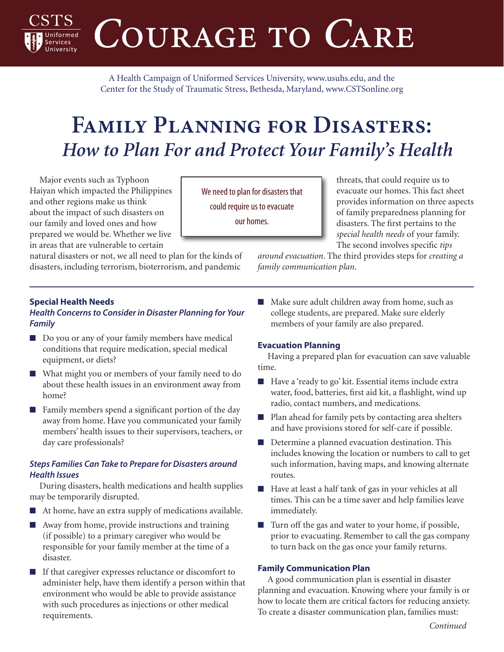COURAGE TO CARE

A Health Campaign of Uniformed Services University, [www.usuhs.edu,](http://www.usuhs.edu) and the Center for the Study of Traumatic Stress, Bethesda, Maryland, [www.CSTSonline.org](http://www.cstsonline.org)

# **Family Planning for Disasters:**  *How to Plan For and Protect Your Family's Health*

Major events such as Typhoon Haiyan which impacted the Philippines and other regions make us think about the impact of such disasters on our family and loved ones and how prepared we would be. Whether we live in areas that are vulnerable to certain

natural disasters or not, we all need to plan for the kinds of disasters, including terrorism, bioterrorism, and pandemic

We need to plan for disasters that could require us to evacuate our homes.

threats, that could require us to evacuate our homes. This fact sheet provides information on three aspects of family preparedness planning for disasters. The first pertains to the *special health needs* of your family. The second involves specific *tips* 

*around evacuation*. The third provides steps for *creating a family communication plan*.

# **Special Health Needs**

**Services** 

#### *Health Concerns to Consider in Disaster Planning for Your Family*

- Do you or any of your family members have medical conditions that require medication, special medical equipment, or diets?
- What might you or members of your family need to do about these health issues in an environment away from home?
- Family members spend a significant portion of the day away from home. Have you communicated your family members' health issues to their supervisors, teachers, or day care professionals?

# *Steps Families Can Take to Prepare for Disasters around Health Issues*

During disasters, health medications and health supplies may be temporarily disrupted.

- At home, have an extra supply of medications available.
- Away from home, provide instructions and training (if possible) to a primary caregiver who would be responsible for your family member at the time of a disaster.
- If that caregiver expresses reluctance or discomfort to administer help, have them identify a person within that environment who would be able to provide assistance with such procedures as injections or other medical requirements.

■ Make sure adult children away from home, such as college students, are prepared. Make sure elderly members of your family are also prepared.

## **Evacuation Planning**

Having a prepared plan for evacuation can save valuable time.

- Have a 'ready to go' kit. Essential items include extra water, food, batteries, first aid kit, a flashlight, wind up radio, contact numbers, and medications.
- Plan ahead for family pets by contacting area shelters and have provisions stored for self-care if possible.
- Determine a planned evacuation destination. This includes knowing the location or numbers to call to get such information, having maps, and knowing alternate routes.
- Have at least a half tank of gas in your vehicles at all times. This can be a time saver and help families leave immediately.
- Turn off the gas and water to your home, if possible, prior to evacuating. Remember to call the gas company to turn back on the gas once your family returns.

## **Family Communication Plan**

A good communication plan is essential in disaster planning and evacuation. Knowing where your family is or how to locate them are critical factors for reducing anxiety. To create a disaster communication plan, families must: